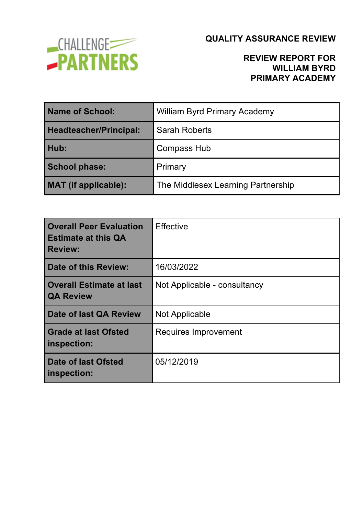

### **REVIEW REPORT FOR WILLIAM BYRD PRIMARY ACADEMY**

| <b>Name of School:</b>        | <b>William Byrd Primary Academy</b> |  |
|-------------------------------|-------------------------------------|--|
| <b>Headteacher/Principal:</b> | <b>Sarah Roberts</b>                |  |
| Hub:                          | <b>Compass Hub</b>                  |  |
| <b>School phase:</b>          | Primary                             |  |
| <b>MAT</b> (if applicable):   | The Middlesex Learning Partnership  |  |

| <b>Overall Peer Evaluation</b><br><b>Estimate at this QA</b><br><b>Review:</b> | <b>Effective</b>             |
|--------------------------------------------------------------------------------|------------------------------|
| Date of this Review:                                                           | 16/03/2022                   |
| <b>Overall Estimate at last</b><br><b>QA Review</b>                            | Not Applicable - consultancy |
| Date of last QA Review                                                         | <b>Not Applicable</b>        |
| <b>Grade at last Ofsted</b><br>inspection:                                     | Requires Improvement         |
| Date of last Ofsted<br>inspection:                                             | 05/12/2019                   |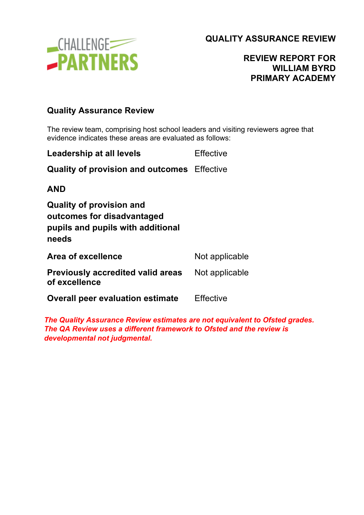

#### **REVIEW REPORT FOR WILLIAM BYRD PRIMARY ACADEMY**

#### **Quality Assurance Review**

The review team, comprising host school leaders and visiting reviewers agree that evidence indicates these areas are evaluated as follows:

| Leadership at all levels                                                                                    | Effective        |
|-------------------------------------------------------------------------------------------------------------|------------------|
| <b>Quality of provision and outcomes</b> Effective                                                          |                  |
| <b>AND</b>                                                                                                  |                  |
| <b>Quality of provision and</b><br>outcomes for disadvantaged<br>pupils and pupils with additional<br>needs |                  |
| Area of excellence                                                                                          | Not applicable   |
| <b>Previously accredited valid areas</b><br>of excellence                                                   | Not applicable   |
| <b>Overall peer evaluation estimate</b>                                                                     | <b>Effective</b> |
|                                                                                                             |                  |

*The Quality Assurance Review estimates are not equivalent to Ofsted grades. The QA Review uses a different framework to Ofsted and the review is developmental not judgmental.*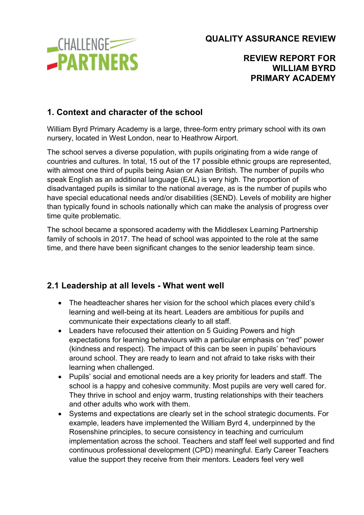**CHALLENGE -PARTNERS**  **QUALITY ASSURANCE REVIEW**

#### **REVIEW REPORT FOR WILLIAM BYRD PRIMARY ACADEMY**

## **1. Context and character of the school**

William Byrd Primary Academy is a large, three-form entry primary school with its own nursery, located in West London, near to Heathrow Airport.

The school serves a diverse population, with pupils originating from a wide range of countries and cultures. In total, 15 out of the 17 possible ethnic groups are represented, with almost one third of pupils being Asian or Asian British. The number of pupils who speak English as an additional language (EAL) is very high. The proportion of disadvantaged pupils is similar to the national average, as is the number of pupils who have special educational needs and/or disabilities (SEND). Levels of mobility are higher than typically found in schools nationally which can make the analysis of progress over time quite problematic.

The school became a sponsored academy with the Middlesex Learning Partnership family of schools in 2017. The head of school was appointed to the role at the same time, and there have been significant changes to the senior leadership team since.

### **2.1 Leadership at all levels - What went well**

- The headteacher shares her vision for the school which places every child's learning and well-being at its heart. Leaders are ambitious for pupils and communicate their expectations clearly to all staff.
- Leaders have refocused their attention on 5 Guiding Powers and high expectations for learning behaviours with a particular emphasis on "red" power (kindness and respect). The impact of this can be seen in pupils' behaviours around school. They are ready to learn and not afraid to take risks with their learning when challenged.
- Pupils' social and emotional needs are a key priority for leaders and staff. The school is a happy and cohesive community. Most pupils are very well cared for. They thrive in school and enjoy warm, trusting relationships with their teachers and other adults who work with them.
- Systems and expectations are clearly set in the school strategic documents. For example, leaders have implemented the William Byrd 4, underpinned by the Rosenshine principles, to secure consistency in teaching and curriculum implementation across the school. Teachers and staff feel well supported and find continuous professional development (CPD) meaningful. Early Career Teachers value the support they receive from their mentors. Leaders feel very well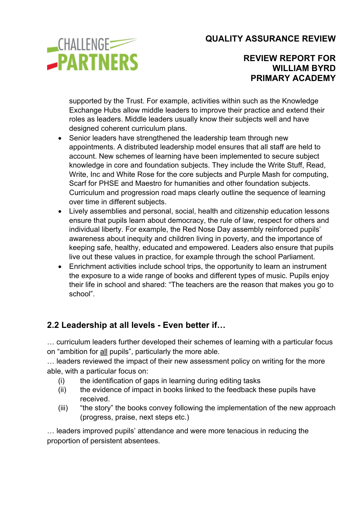

**REVIEW REPORT FOR WILLIAM BYRD PRIMARY ACADEMY**

supported by the Trust. For example, activities within such as the Knowledge Exchange Hubs allow middle leaders to improve their practice and extend their roles as leaders. Middle leaders usually know their subjects well and have designed coherent curriculum plans.

- Senior leaders have strengthened the leadership team through new appointments. A distributed leadership model ensures that all staff are held to account. New schemes of learning have been implemented to secure subject knowledge in core and foundation subjects. They include the Write Stuff, Read, Write, Inc and White Rose for the core subjects and Purple Mash for computing, Scarf for PHSE and Maestro for humanities and other foundation subjects. Curriculum and progression road maps clearly outline the sequence of learning over time in different subjects.
- Lively assemblies and personal, social, health and citizenship education lessons ensure that pupils learn about democracy, the rule of law, respect for others and individual liberty. For example, the Red Nose Day assembly reinforced pupils' awareness about inequity and children living in poverty, and the importance of keeping safe, healthy, educated and empowered. Leaders also ensure that pupils live out these values in practice, for example through the school Parliament.
- Enrichment activities include school trips, the opportunity to learn an instrument the exposure to a wide range of books and different types of music. Pupils enjoy their life in school and shared: "The teachers are the reason that makes you go to school".

# **2.2 Leadership at all levels - Even better if…**

… curriculum leaders further developed their schemes of learning with a particular focus on "ambition for all pupils", particularly the more able.

… leaders reviewed the impact of their new assessment policy on writing for the more able, with a particular focus on:

- (i) the identification of gaps in learning during editing tasks
- (ii) the evidence of impact in books linked to the feedback these pupils have received.
- (iii) "the story" the books convey following the implementation of the new approach (progress, praise, next steps etc.)

… leaders improved pupils' attendance and were more tenacious in reducing the proportion of persistent absentees.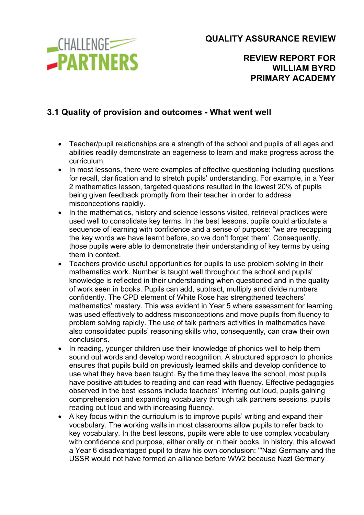**CHALLENGE -PARTNERS**  **QUALITY ASSURANCE REVIEW**

### **REVIEW REPORT FOR WILLIAM BYRD PRIMARY ACADEMY**

## **3.1 Quality of provision and outcomes - What went well**

- Teacher/pupil relationships are a strength of the school and pupils of all ages and abilities readily demonstrate an eagerness to learn and make progress across the curriculum.
- In most lessons, there were examples of effective questioning including questions for recall, clarification and to stretch pupils' understanding. For example, in a Year 2 mathematics lesson, targeted questions resulted in the lowest 20% of pupils being given feedback promptly from their teacher in order to address misconceptions rapidly.
- In the mathematics, history and science lessons visited, retrieval practices were used well to consolidate key terms. In the best lessons, pupils could articulate a sequence of learning with confidence and a sense of purpose: "we are recapping the key words we have learnt before, so we don't forget them'. Consequently, those pupils were able to demonstrate their understanding of key terms by using them in context.
- Teachers provide useful opportunities for pupils to use problem solving in their mathematics work. Number is taught well throughout the school and pupils' knowledge is reflected in their understanding when questioned and in the quality of work seen in books. Pupils can add, subtract, multiply and divide numbers confidently. The CPD element of White Rose has strengthened teachers' mathematics' mastery. This was evident in Year 5 where assessment for learning was used effectively to address misconceptions and move pupils from fluency to problem solving rapidly. The use of talk partners activities in mathematics have also consolidated pupils' reasoning skills who, consequently, can draw their own conclusions.
- In reading, younger children use their knowledge of phonics well to help them sound out words and develop word recognition. A structured approach to phonics ensures that pupils build on previously learned skills and develop confidence to use what they have been taught. By the time they leave the school, most pupils have positive attitudes to reading and can read with fluency. Effective pedagogies observed in the best lessons include teachers' inferring out loud, pupils gaining comprehension and expanding vocabulary through talk partners sessions, pupils reading out loud and with increasing fluency.
- A key focus within the curriculum is to improve pupils' writing and expand their vocabulary. The working walls in most classrooms allow pupils to refer back to key vocabulary. In the best lessons, pupils were able to use complex vocabulary with confidence and purpose, either orally or in their books. In history, this allowed a Year 6 disadvantaged pupil to draw his own conclusion: '"Nazi Germany and the USSR would not have formed an alliance before WW2 because Nazi Germany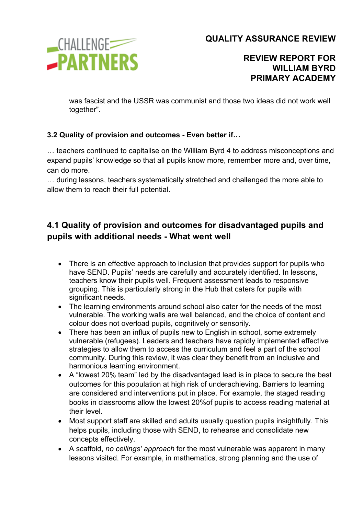

**REVIEW REPORT FOR WILLIAM BYRD PRIMARY ACADEMY**

was fascist and the USSR was communist and those two ideas did not work well together".

#### **3.2 Quality of provision and outcomes - Even better if…**

… teachers continued to capitalise on the William Byrd 4 to address misconceptions and expand pupils' knowledge so that all pupils know more, remember more and, over time, can do more.

… during lessons, teachers systematically stretched and challenged the more able to allow them to reach their full potential.

# **4.1 Quality of provision and outcomes for disadvantaged pupils and pupils with additional needs - What went well**

- There is an effective approach to inclusion that provides support for pupils who have SEND. Pupils' needs are carefully and accurately identified. In lessons, teachers know their pupils well. Frequent assessment leads to responsive grouping. This is particularly strong in the Hub that caters for pupils with significant needs.
- The learning environments around school also cater for the needs of the most vulnerable. The working walls are well balanced, and the choice of content and colour does not overload pupils, cognitively or sensorily.
- There has been an influx of pupils new to English in school, some extremely vulnerable (refugees). Leaders and teachers have rapidly implemented effective strategies to allow them to access the curriculum and feel a part of the school community. During this review, it was clear they benefit from an inclusive and harmonious learning environment.
- A "lowest 20% team" led by the disadvantaged lead is in place to secure the best outcomes for this population at high risk of underachieving. Barriers to learning are considered and interventions put in place. For example, the staged reading books in classrooms allow the lowest 20%of pupils to access reading material at their level.
- Most support staff are skilled and adults usually question pupils insightfully. This helps pupils, including those with SEND, to rehearse and consolidate new concepts effectively.
- A scaffold, *no ceilings' approach* for the most vulnerable was apparent in many lessons visited. For example, in mathematics, strong planning and the use of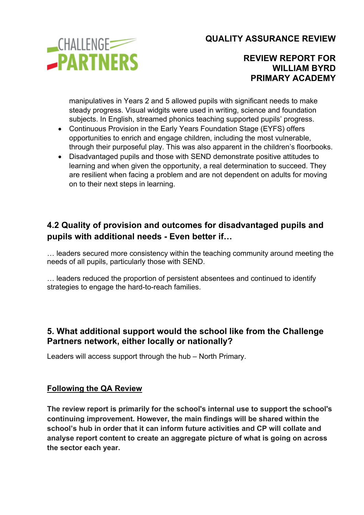

#### **REVIEW REPORT FOR WILLIAM BYRD PRIMARY ACADEMY**

manipulatives in Years 2 and 5 allowed pupils with significant needs to make steady progress. Visual widgits were used in writing, science and foundation subjects. In English, streamed phonics teaching supported pupils' progress.

- Continuous Provision in the Early Years Foundation Stage (EYFS) offers opportunities to enrich and engage children, including the most vulnerable, through their purposeful play. This was also apparent in the children's floorbooks.
- Disadvantaged pupils and those with SEND demonstrate positive attitudes to learning and when given the opportunity, a real determination to succeed. They are resilient when facing a problem and are not dependent on adults for moving on to their next steps in learning.

# **4.2 Quality of provision and outcomes for disadvantaged pupils and pupils with additional needs - Even better if…**

… leaders secured more consistency within the teaching community around meeting the needs of all pupils, particularly those with SEND.

… leaders reduced the proportion of persistent absentees and continued to identify strategies to engage the hard-to-reach families.

### **5. What additional support would the school like from the Challenge Partners network, either locally or nationally?**

Leaders will access support through the hub – North Primary.

#### **Following the QA Review**

**The review report is primarily for the school's internal use to support the school's continuing improvement. However, the main findings will be shared within the school's hub in order that it can inform future activities and CP will collate and analyse report content to create an aggregate picture of what is going on across the sector each year.**